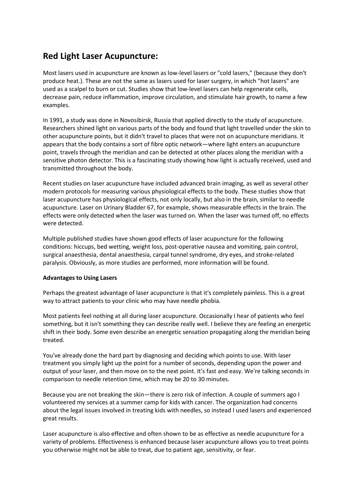# **Red Light Laser Acupuncture:**

Most lasers used in acupuncture are known as low-level lasers or "cold lasers," (because they don't produce heat.). These are not the same as lasers used for laser surgery, in which "hot lasers" are used as a scalpel to burn or cut. Studies show that low-level lasers can help regenerate cells, decrease pain, reduce inflammation, improve circulation, and stimulate hair growth, to name a few examples.

In 1991, a study was done in Novosibirsk, Russia that applied directly to the study of acupuncture. Researchers shined light on various parts of the body and found that light travelled under the skin to other acupuncture points, but it didn't travel to places that were not on acupuncture meridians. It appears that the body contains a sort of fibre optic network—where light enters an acupuncture point, travels through the meridian and can be detected at other places along the meridian with a sensitive photon detector. This is a fascinating study showing how light is actually received, used and transmitted throughout the body.

Recent studies on laser acupuncture have included advanced brain imaging, as well as several other modern protocols for measuring various physiological effects to the body. These studies show that laser acupuncture has physiological effects, not only locally, but also in the brain, similar to needle acupuncture. Laser on Urinary Bladder 67, for example, shows measurable effects in the brain. The effects were only detected when the laser was turned on. When the laser was turned off, no effects were detected.

Multiple published studies have shown good effects of laser acupuncture for the following conditions: hiccups, bed wetting, weight loss, post-operative nausea and vomiting, pain control, surgical anaesthesia, dental anaesthesia, carpal tunnel syndrome, dry eyes, and stroke-related paralysis. Obviously, as more studies are performed, more information will be found.

## **Advantages to Using Lasers**

Perhaps the greatest advantage of laser acupuncture is that it's completely painless. This is a great way to attract patients to your clinic who may have needle phobia.

Most patients feel nothing at all during laser acupuncture. Occasionally I hear of patients who feel something, but it isn't something they can describe really well. I believe they are feeling an energetic shift in their body. Some even describe an energetic sensation propagating along the meridian being treated.

You've already done the hard part by diagnosing and deciding which points to use. With laser treatment you simply light up the point for a number of seconds, depending upon the power and output of your laser, and then move on to the next point. It's fast and easy. We're talking seconds in comparison to needle retention time, which may be 20 to 30 minutes.

Because you are not breaking the skin—there is zero risk of infection. A couple of summers ago I volunteered my services at a summer camp for kids with cancer. The organization had concerns about the legal issues involved in treating kids with needles, so instead I used lasers and experienced great results.

Laser acupuncture is also effective and often shown to be as effective as needle acupuncture for a variety of problems. Effectiveness is enhanced because laser acupuncture allows you to treat points you otherwise might not be able to treat, due to patient age, sensitivity, or fear.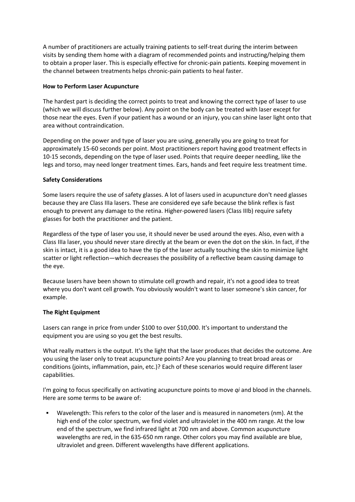A number of practitioners are actually training patients to self-treat during the interim between visits by sending them home with a diagram of recommended points and instructing/helping them to obtain a proper laser. This is especially effective for chronic-pain patients. Keeping movement in the channel between treatments helps chronic-pain patients to heal faster.

#### **How to Perform Laser Acupuncture**

The hardest part is deciding the correct points to treat and knowing the correct type of laser to use (which we will discuss further below). Any point on the body can be treated with laser except for those near the eyes. Even if your patient has a wound or an injury, you can shine laser light onto that area without contraindication.

Depending on the power and type of laser you are using, generally you are going to treat for approximately 15-60 seconds per point. Most practitioners report having good treatment effects in 10-15 seconds, depending on the type of laser used. Points that require deeper needling, like the legs and torso, may need longer treatment times. Ears, hands and feet require less treatment time.

### **Safety Considerations**

Some lasers require the use of safety glasses. A lot of lasers used in acupuncture don't need glasses because they are Class IIIa lasers. These are considered eye safe because the blink reflex is fast enough to prevent any damage to the retina. Higher-powered lasers (Class IIIb) require safety glasses for both the practitioner and the patient.

Regardless of the type of laser you use, it should never be used around the eyes. Also, even with a Class IIIa laser, you should never stare directly at the beam or even the dot on the skin. In fact, if the skin is intact, it is a good idea to have the tip of the laser actually touching the skin to minimize light scatter or light reflection—which decreases the possibility of a reflective beam causing damage to the eye.

Because lasers have been shown to stimulate cell growth and repair, it's not a good idea to treat where you don't want cell growth. You obviously wouldn't want to laser someone's skin cancer, for example.

## **The Right Equipment**

Lasers can range in price from under \$100 to over \$10,000. It's important to understand the equipment you are using so you get the best results.

What really matters is the output. It's the light that the laser produces that decides the outcome. Are you using the laser only to treat acupuncture points? Are you planning to treat broad areas or conditions (joints, inflammation, pain, etc.)? Each of these scenarios would require different laser capabilities.

I'm going to focus specifically on activating acupuncture points to move *qi* and blood in the channels. Here are some terms to be aware of:

Wavelength: This refers to the color of the laser and is measured in nanometers (nm). At the high end of the color spectrum, we find violet and ultraviolet in the 400 nm range. At the low end of the spectrum, we find infrared light at 700 nm and above. Common acupuncture wavelengths are red, in the 635-650 nm range. Other colors you may find available are blue, ultraviolet and green. Different wavelengths have different applications.